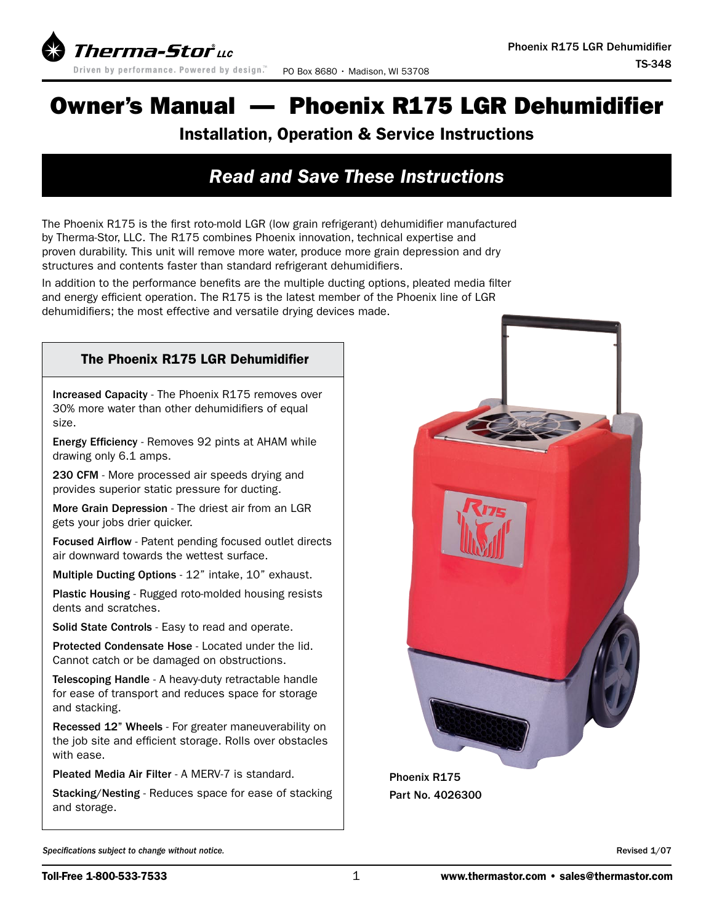

# Owner's Manual — Phoenix R175 LGR Dehumidifier

Installation, Operation & Service Instructions

## *Read and Save These Instructions*

The Phoenix R175 is the first roto-mold LGR (low grain refrigerant) dehumidifier manufactured by Therma-Stor, LLC. The R175 combines Phoenix innovation, technical expertise and proven durability. This unit will remove more water, produce more grain depression and dry structures and contents faster than standard refrigerant dehumidifiers.

In addition to the performance benefits are the multiple ducting options, pleated media filter and energy efficient operation. The R175 is the latest member of the Phoenix line of LGR dehumidifiers; the most effective and versatile drying devices made.





*Specifications subject to change without notice.* Revised 1/07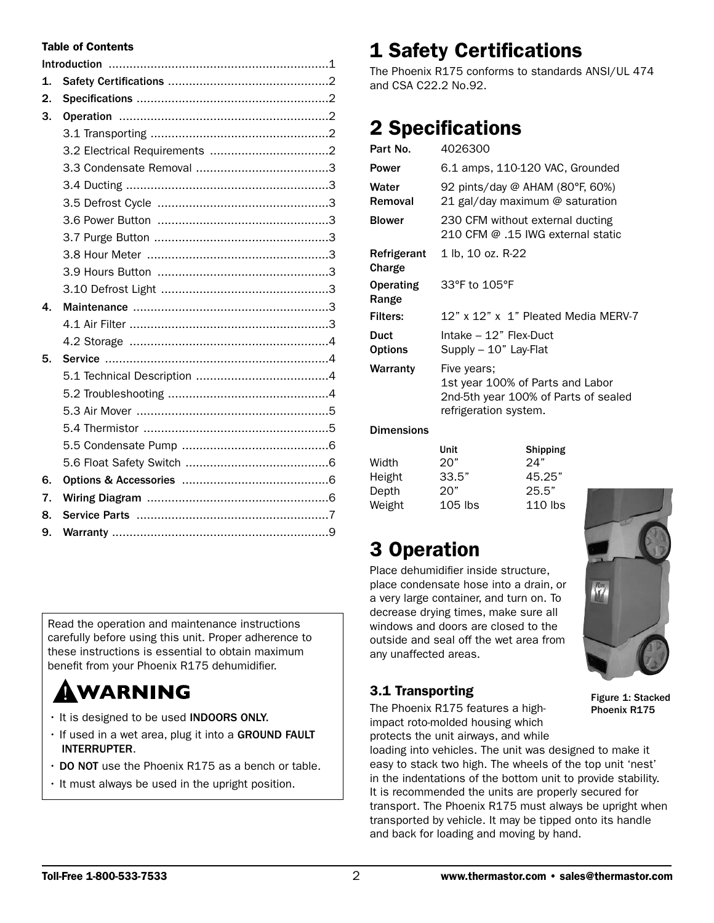#### Table of Contents

| 1.           |  |  |  |
|--------------|--|--|--|
| 2.           |  |  |  |
| 3.           |  |  |  |
|              |  |  |  |
|              |  |  |  |
|              |  |  |  |
|              |  |  |  |
|              |  |  |  |
|              |  |  |  |
|              |  |  |  |
|              |  |  |  |
|              |  |  |  |
|              |  |  |  |
| $\mathbf{A}$ |  |  |  |
|              |  |  |  |
|              |  |  |  |
| 5.           |  |  |  |
|              |  |  |  |
|              |  |  |  |
|              |  |  |  |
|              |  |  |  |
|              |  |  |  |
|              |  |  |  |
| 6.           |  |  |  |
|              |  |  |  |
| 7.           |  |  |  |
| 8.           |  |  |  |

Read the operation and maintenance instructions carefully before using this unit. Proper adherence to these instructions is essential to obtain maximum benefit from your Phoenix R175 dehumidifier.

# AWARNING

- $\cdot$  It is designed to be used INDOORS ONLY.
- If used in a wet area, plug it into a GROUND FAULT INTERRUPTER.
- DO NOT use the Phoenix R175 as a bench or table.
- It must always be used in the upright position.

# 1 Safety Certifications

The Phoenix R175 conforms to standards ANSI/UL 474 and CSA C22.2 No.92.

# 2 Specifications

| Part No.                  | 4026300                                                                                                          |
|---------------------------|------------------------------------------------------------------------------------------------------------------|
| <b>Power</b>              | 6.1 amps, 110-120 VAC, Grounded                                                                                  |
| Water<br>Removal          | 92 pints/day @ AHAM (80°F, 60%)<br>21 gal/day maximum $@$ saturation                                             |
| <b>Blower</b>             | 230 CFM without external ducting<br>210 CFM @ .15 IWG external static                                            |
| Refrigerant<br>Charge     | 1 lb, 10 oz. R-22                                                                                                |
| <b>Operating</b><br>Range | 33°F to 105°F                                                                                                    |
| Filters:                  | 12" x 12" x 1" Pleated Media MERV-7                                                                              |
| Duct<br><b>Options</b>    | Intake - 12" Flex-Duct<br>Supply – 10" Lay-Flat                                                                  |
| Warranty                  | Five years;<br>1st year 100% of Parts and Labor<br>2nd-5th year 100% of Parts of sealed<br>refrigeration system. |
| <b>Dimensions</b>         |                                                                                                                  |

|        | Unit      | <b>Shipping</b> |
|--------|-----------|-----------------|
| Width  | 20"       | 24"             |
| Height | 33.5"     | 45.25"          |
| Depth  | 20"       | 25.5"           |
| Weight | $105$ lbs | $110$ lbs       |

Place dehumidifier inside structure, place condensate hose into a drain, or a very large container, and turn on. To decrease drying times, make sure all windows and doors are closed to the outside and seal off the wet area from

# W

## 3.1 Transporting

any unaffected areas.

3 Operation

The Phoenix R175 features a highimpact roto-molded housing which protects the unit airways, and while

loading into vehicles. The unit was designed to make it easy to stack two high. The wheels of the top unit 'nest' in the indentations of the bottom unit to provide stability. It is recommended the units are properly secured for transport. The Phoenix R175 must always be upright when transported by vehicle. It may be tipped onto its handle and back for loading and moving by hand.

Figure 1: Stacked Phoenix R175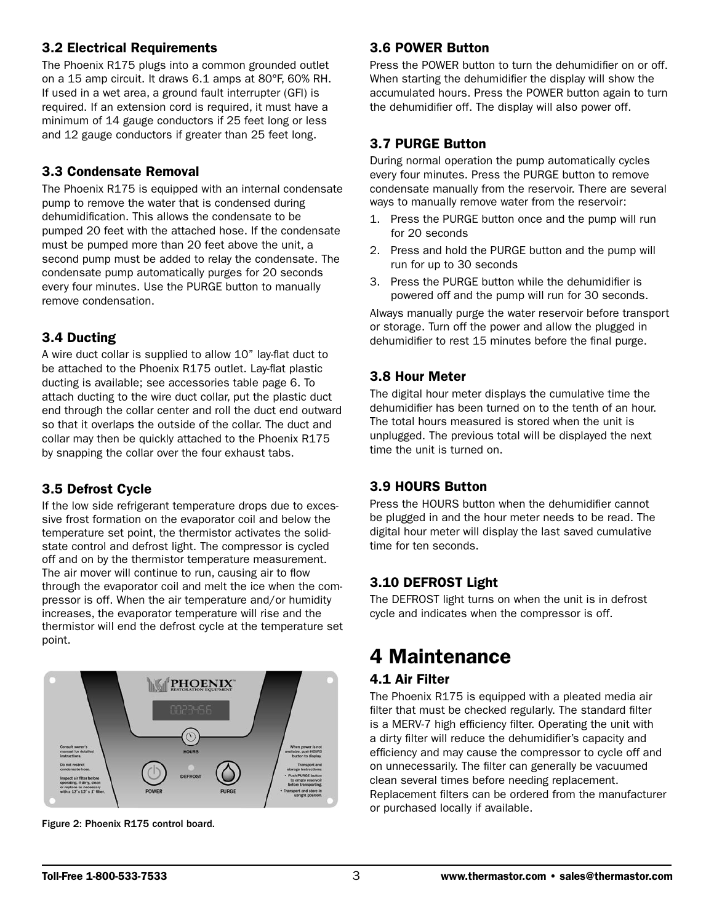## 3.2 Electrical Requirements

The Phoenix R175 plugs into a common grounded outlet on a 15 amp circuit. It draws 6.1 amps at 80°F, 60% RH. If used in a wet area, a ground fault interrupter (GFI) is required. If an extension cord is required, it must have a minimum of 14 gauge conductors if 25 feet long or less and 12 gauge conductors if greater than 25 feet long.

## 3.3 Condensate Removal

The Phoenix R175 is equipped with an internal condensate pump to remove the water that is condensed during dehumidification. This allows the condensate to be pumped 20 feet with the attached hose. If the condensate must be pumped more than 20 feet above the unit, a second pump must be added to relay the condensate. The condensate pump automatically purges for 20 seconds every four minutes. Use the PURGE button to manually remove condensation.

## 3.4 Ducting

A wire duct collar is supplied to allow 10" lay-flat duct to be attached to the Phoenix R175 outlet. Lay-flat plastic ducting is available; see accessories table page 6. To attach ducting to the wire duct collar, put the plastic duct end through the collar center and roll the duct end outward so that it overlaps the outside of the collar. The duct and collar may then be quickly attached to the Phoenix R175 by snapping the collar over the four exhaust tabs.

## 3.5 Defrost Cycle

If the low side refrigerant temperature drops due to excessive frost formation on the evaporator coil and below the temperature set point, the thermistor activates the solidstate control and defrost light. The compressor is cycled off and on by the thermistor temperature measurement. The air mover will continue to run, causing air to flow through the evaporator coil and melt the ice when the compressor is off. When the air temperature and/or humidity increases, the evaporator temperature will rise and the thermistor will end the defrost cycle at the temperature set point.



Figure 2: Phoenix R175 control board.

## 3.6 POWER Button

Press the POWER button to turn the dehumidifier on or off. When starting the dehumidifier the display will show the accumulated hours. Press the POWER button again to turn the dehumidifier off. The display will also power off.

#### 3.7 PURGE Button

During normal operation the pump automatically cycles every four minutes. Press the PURGE button to remove condensate manually from the reservoir. There are several ways to manually remove water from the reservoir:

- 1. Press the PURGE button once and the pump will run for 20 seconds
- 2. Press and hold the PURGE button and the pump will run for up to 30 seconds
- 3. Press the PURGE button while the dehumidifier is powered off and the pump will run for 30 seconds.

Always manually purge the water reservoir before transport or storage. Turn off the power and allow the plugged in dehumidifier to rest 15 minutes before the final purge.

## 3.8 Hour Meter

The digital hour meter displays the cumulative time the dehumidifier has been turned on to the tenth of an hour. The total hours measured is stored when the unit is unplugged. The previous total will be displayed the next time the unit is turned on.

## 3.9 HOURS Button

Press the HOURS button when the dehumidifier cannot be plugged in and the hour meter needs to be read. The digital hour meter will display the last saved cumulative time for ten seconds.

## 3.10 DEFROST Light

The DEFROST light turns on when the unit is in defrost cycle and indicates when the compressor is off.

# 4 Maintenance

## 4.1 Air Filter

The Phoenix R175 is equipped with a pleated media air filter that must be checked regularly. The standard filter is a MERV-7 high efficiency filter. Operating the unit with a dirty filter will reduce the dehumidifier's capacity and efficiency and may cause the compressor to cycle off and on unnecessarily. The filter can generally be vacuumed clean several times before needing replacement. Replacement filters can be ordered from the manufacturer or purchased locally if available.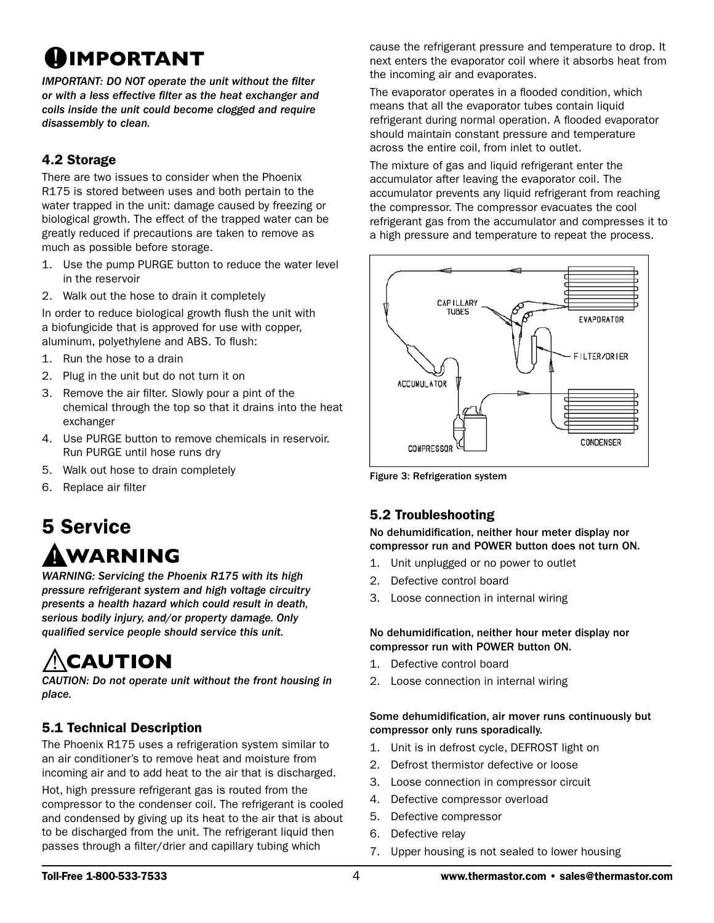# **IMPORTANT**

*IMPORTANT: DO NOT operate the unit without the filter or with a less effective filter as the heat exchanger and coils inside the unit could become clogged and require disassembly to clean.*

## 4.2 Storage

There are two issues to consider when the Phoenix R175 is stored between uses and both pertain to the water trapped in the unit: damage caused by freezing or biological growth. The effect of the trapped water can be greatly reduced if precautions are taken to remove as much as possible before storage.

- 1. Use the pump PURGE button to reduce the water level in the reservoir
- 2. Walk out the hose to drain it completely

In order to reduce biological growth flush the unit with a biofungicide that is approved for use with copper, aluminum, polyethylene and ABS. To flush:

- 1. Run the hose to a drain
- 2. Plug in the unit but do not turn it on
- 3. Remove the air filter. Slowly pour a pint of the chemical through the top so that it drains into the heat exchanger
- 4. Use PURGE button to remove chemicals in reservoir. Run PURGE until hose runs dry
- 5. Walk out hose to drain completely
- 6. Replace air filter

# 5 Service AWARNING

*WARNING: Servicing the Phoenix R175 with its high pressure refrigerant system and high voltage circuitry presents a health hazard which could result in death, serious bodily injury, and/or property damage. Only qualified service people should service this unit.* 

# **CAUTION**

*CAUTION: Do not operate unit without the front housing in place.*

## 5.1 Technical Description

The Phoenix R175 uses a refrigeration system similar to an air conditioner's to remove heat and moisture from incoming air and to add heat to the air that is discharged.

Hot, high pressure refrigerant gas is routed from the compressor to the condenser coil. The refrigerant is cooled and condensed by giving up its heat to the air that is about to be discharged from the unit. The refrigerant liquid then passes through a filter/drier and capillary tubing which

cause the refrigerant pressure and temperature to drop. It next enters the evaporator coil where it absorbs heat from the incoming air and evaporates.

The evaporator operates in a flooded condition, which means that all the evaporator tubes contain liquid refrigerant during normal operation. A flooded evaporator should maintain constant pressure and temperature across the entire coil, from inlet to outlet.

The mixture of gas and liquid refrigerant enter the accumulator after leaving the evaporator coil. The accumulator prevents any liquid refrigerant from reaching the compressor. The compressor evacuates the cool refrigerant gas from the accumulator and compresses it to a high pressure and temperature to repeat the process.



Figure 3: Refrigeration system

## 5.2 Troubleshooting

No dehumidification, neither hour meter display nor compressor run and POWER button does not turn ON.

- 1. Unit unplugged or no power to outlet
- 2. Defective control board
- 3. Loose connection in internal wiring

No dehumidification, neither hour meter display nor compressor run with POWER button ON.

- 1. Defective control board
- 2. Loose connection in internal wiring

#### Some dehumidification, air mover runs continuously but compressor only runs sporadically.

- 1. Unit is in defrost cycle, DEFROST light on
- 2. Defrost thermistor defective or loose
- 3. Loose connection in compressor circuit
- 4. Defective compressor overload
- 5. Defective compressor
- 6. Defective relay
- 7. Upper housing is not sealed to lower housing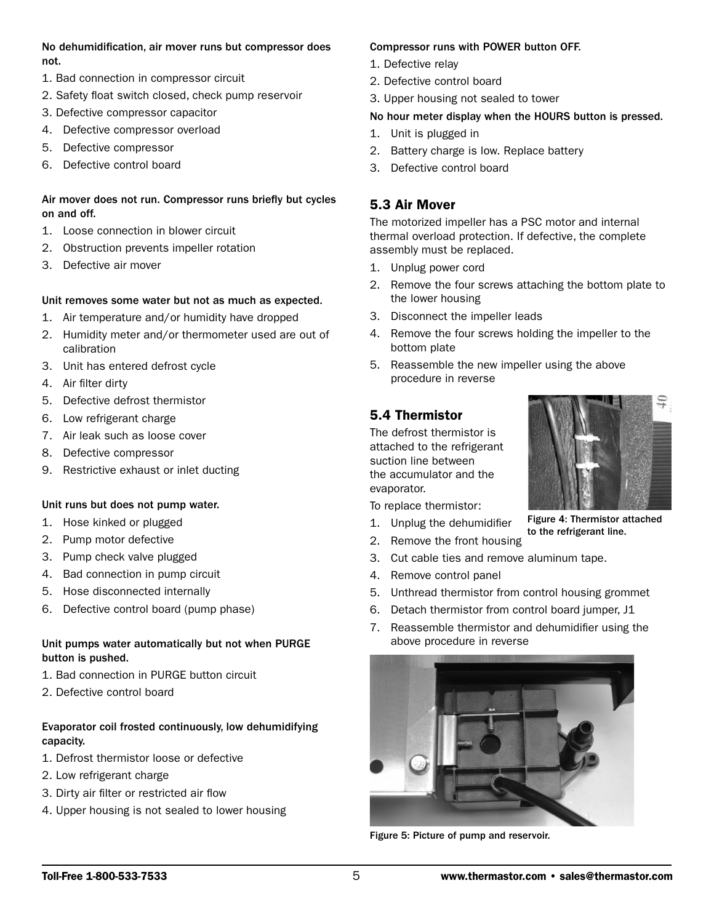#### No dehumidification, air mover runs but compressor does not.

- 1. Bad connection in compressor circuit
- 2. Safety float switch closed, check pump reservoir
- 3. Defective compressor capacitor
- 4. Defective compressor overload
- 5. Defective compressor
- 6. Defective control board

#### Air mover does not run. Compressor runs briefly but cycles on and off.

- 1. Loose connection in blower circuit
- 2. Obstruction prevents impeller rotation
- 3. Defective air mover

#### Unit removes some water but not as much as expected.

- 1. Air temperature and/or humidity have dropped
- 2. Humidity meter and/or thermometer used are out of calibration
- 3. Unit has entered defrost cycle
- 4. Air filter dirty
- 5. Defective defrost thermistor
- 6. Low refrigerant charge
- 7. Air leak such as loose cover
- 8. Defective compressor
- 9. Restrictive exhaust or inlet ducting

#### Unit runs but does not pump water.

- 1. Hose kinked or plugged
- 2. Pump motor defective
- 3. Pump check valve plugged
- 4. Bad connection in pump circuit
- 5. Hose disconnected internally
- 6. Defective control board (pump phase)

#### Unit pumps water automatically but not when PURGE button is pushed.

- 1. Bad connection in PURGE button circuit
- 2. Defective control board

#### Evaporator coil frosted continuously, low dehumidifying capacity.

- 1. Defrost thermistor loose or defective
- 2. Low refrigerant charge
- 3. Dirty air filter or restricted air flow
- 4. Upper housing is not sealed to lower housing

#### Compressor runs with POWER button OFF.

- 1. Defective relay
- 2. Defective control board
- 3. Upper housing not sealed to tower

#### No hour meter display when the HOURS button is pressed.

- 1. Unit is plugged in
- 2. Battery charge is low. Replace battery
- 3. Defective control board

#### 5.3 Air Mover

The motorized impeller has a PSC motor and internal thermal overload protection. If defective, the complete assembly must be replaced.

- 1. Unplug power cord
- 2. Remove the four screws attaching the bottom plate to the lower housing
- 3. Disconnect the impeller leads
- 4. Remove the four screws holding the impeller to the bottom plate
- 5. Reassemble the new impeller using the above procedure in reverse

## 5.4 Thermistor

The defrost thermistor is attached to the refrigerant suction line between the accumulator and the evaporator.



to the refrigerant line.

To replace thermistor:

- 1. Unplug the dehumidifier
- 2. Remove the front housing
- 3. Cut cable ties and remove aluminum tape.
- 4. Remove control panel
- 5. Unthread thermistor from control housing grommet
- 6. Detach thermistor from control board jumper, J1
- 7. Reassemble thermistor and dehumidifier using the above procedure in reverse



Figure 5: Picture of pump and reservoir.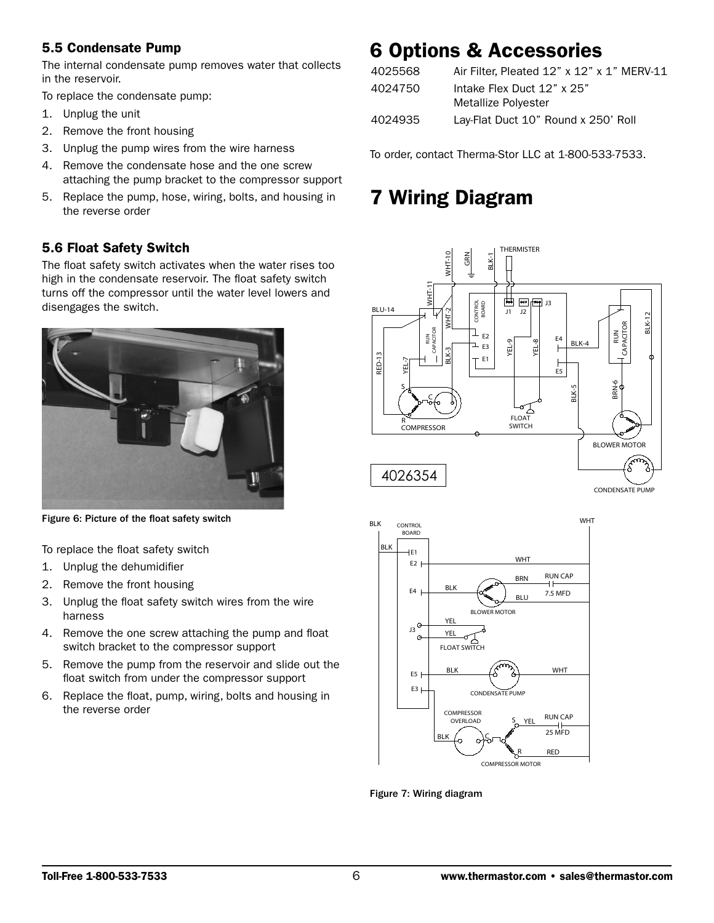## 5.5 Condensate Pump

The internal condensate pump removes water that collects in the reservoir.

To replace the condensate pump:

- 1. Unplug the unit
- 2. Remove the front housing
- 3. Unplug the pump wires from the wire harness
- 4. Remove the condensate hose and the one screw attaching the pump bracket to the compressor support
- 5. Replace the pump, hose, wiring, bolts, and housing in the reverse order

#### 5.6 Float Safety Switch

The float safety switch activates when the water rises too high in the condensate reservoir. The float safety switch turns off the compressor until the water level lowers and disengages the switch.



Figure 6: Picture of the float safety switch

To replace the float safety switch

- 1. Unplug the dehumidifier
- 2. Remove the front housing
- 3. Unplug the float safety switch wires from the wire harness
- 4. Remove the one screw attaching the pump and float switch bracket to the compressor support
- 5. Remove the pump from the reservoir and slide out the float switch from under the compressor support
- 6. Replace the float, pump, wiring, bolts and housing in the reverse order

## 6 Options & Accessories

| Air Filter, Pleated $12"$ x $12"$ x $1"$ MERV-11 |
|--------------------------------------------------|
|                                                  |
|                                                  |
|                                                  |
|                                                  |

To order, contact Therma-Stor LLC at 1-800-533-7533.

# 7 Wiring Diagram





Figure 7: Wiring diagram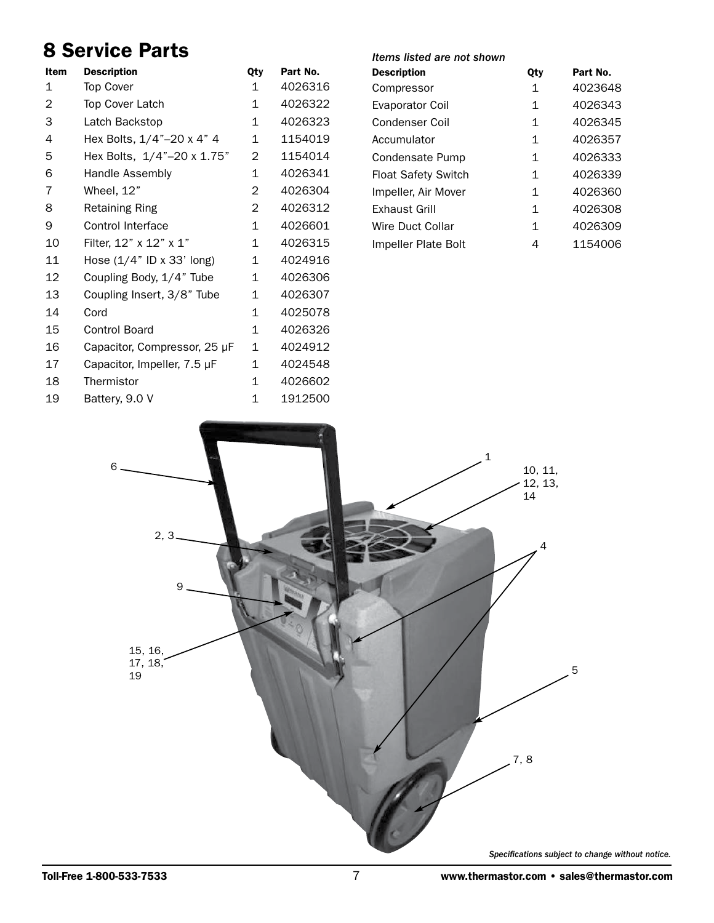# 8 Service Parts

| Item | <b>Description</b>           | Qty            | Part No. |
|------|------------------------------|----------------|----------|
| 1    | <b>Top Cover</b>             | 1              | 4026316  |
| 2    | Top Cover Latch              | $\mathbf{1}$   | 4026322  |
| 3    | Latch Backstop               | 1              | 4026323  |
| 4    | Hex Bolts, 1/4"-20 x 4" 4    | 1              | 1154019  |
| 5    | Hex Bolts, 1/4"-20 x 1.75"   | $\overline{2}$ | 1154014  |
| 6    | Handle Assembly              | 1              | 4026341  |
| 7    | Wheel, 12"                   | $\mathcal{P}$  | 4026304  |
| 8    | <b>Retaining Ring</b>        | 2              | 4026312  |
| 9    | Control Interface            | 1              | 4026601  |
| 10   | Filter, 12" x 12" x 1"       | 1              | 4026315  |
| 11   | Hose $(1/4"$ ID x 33' long)  | 1              | 4024916  |
| 12   | Coupling Body, 1/4" Tube     | $\mathbf{1}$   | 4026306  |
| 13   | Coupling Insert, 3/8" Tube   | 1              | 4026307  |
| 14   | Cord                         | 1              | 4025078  |
| 15   | <b>Control Board</b>         | 1              | 4026326  |
| 16   | Capacitor, Compressor, 25 µF | $\mathbf{1}$   | 4024912  |
| 17   | Capacitor, Impeller, 7.5 µF  | 1              | 4024548  |
| 18   | Thermistor                   | 1              | 4026602  |
| 19   | Battery, 9.0 V               | $\mathbf{1}$   | 1912500  |

| <b>Description</b>         | Qtv | Part No. |
|----------------------------|-----|----------|
| Compressor                 | 1   | 4023648  |
| <b>Evaporator Coil</b>     | 1   | 4026343  |
| Condenser Coil             | 1   | 4026345  |
| Accumulator                | 1   | 4026357  |
| Condensate Pump            | 1   | 4026333  |
| <b>Float Safety Switch</b> | 1   | 4026339  |
| Impeller, Air Mover        | 1   | 4026360  |
| <b>Fxhaust Grill</b>       | 1   | 4026308  |
| Wire Duct Collar           | 1   | 4026309  |
| Impeller Plate Bolt        | 4   | 1154006  |

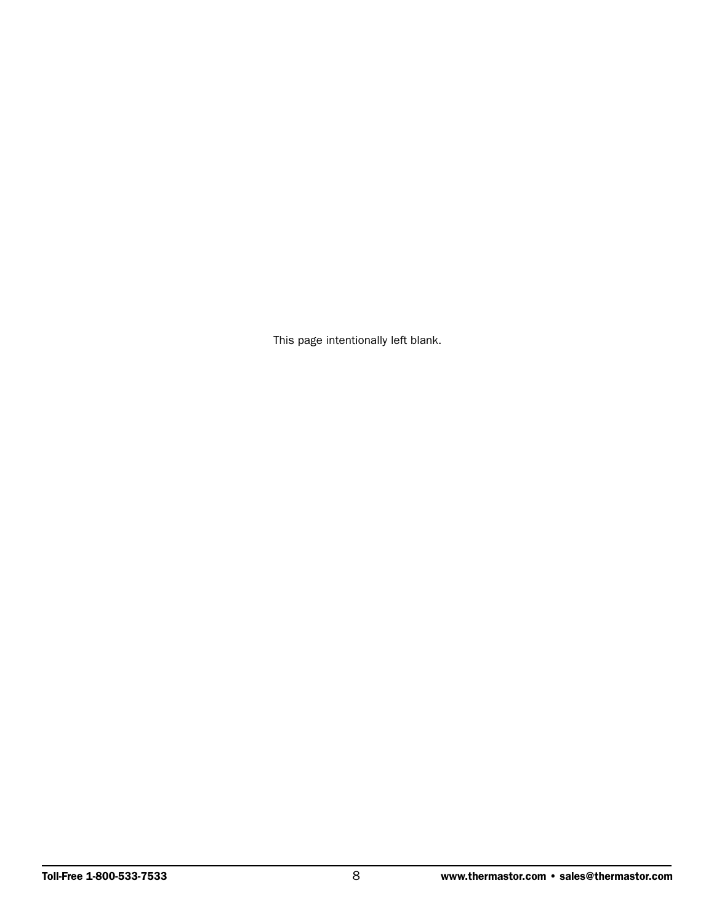This page intentionally left blank.